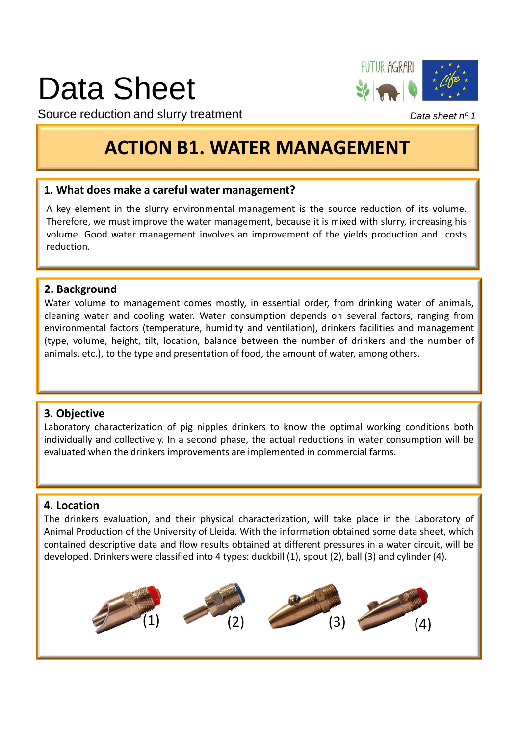## Data Sheet



Source reduction and slurry treatment

### **ACTION B1. WATER MANAGEMENT**

### **1. What does make a careful water management?**

A key element in the slurry environmental management is the source reduction of its volume. Therefore, we must improve the water management, because it is mixed with slurry, increasing his volume. Good water management involves an improvement of the yields production and costs reduction.

### **2. Background**

Water volume to management comes mostly, in essential order, from drinking water of animals, cleaning water and cooling water. Water consumption depends on several factors, ranging from environmental factors (temperature, humidity and ventilation), drinkers facilities and management (type, volume, height, tilt, location, balance between the number of drinkers and the number of animals, etc.), to the type and presentation of food, the amount of water, among others.

### **3. Objective**

Laboratory characterization of pig nipples drinkers to know the optimal working conditions both individually and collectively. In a second phase, the actual reductions in water consumption will be evaluated when the drinkers improvements are implemented in commercial farms.

### **4. Location**

The drinkers evaluation, and their physical characterization, will take place in the Laboratory of Animal Production of the University of Lleida. With the information obtained some data sheet, which contained descriptive data and flow results obtained at different pressures in a water circuit, will be developed. Drinkers were classified into 4 types: duckbill (1), spout (2), ball (3) and cylinder (4).



Data sheet nº 1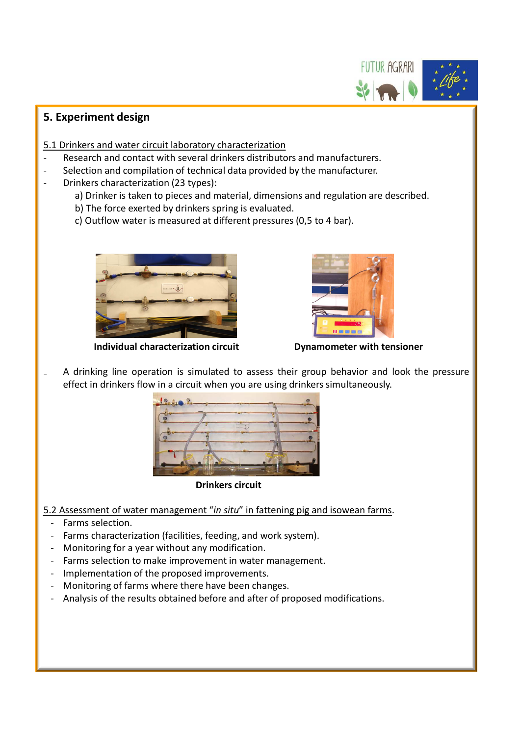# FUTUR AGRARI

### **5. Experiment design**

- 5.1 Drinkers and water circuit laboratory characterization
- Research and contact with several drinkers distributors and manufacturers.
- Selection and compilation of technical data provided by the manufacturer.
- Drinkers characterization (23 types):
	- a) Drinker is taken to pieces and material, dimensions and regulation are described.
	- b) The force exerted by drinkers spring is evaluated.
	- c) Outflow water is measured at different pressures (0,5 to 4 bar).



**Individual characterization circuit Dynamometer with tensioner**



A drinking line operation is simulated to assess their group behavior and look the pressure effect in drinkers flow in a circuit when you are using drinkers simultaneously.



**Drinkers circuit**

- 5.2 Assessment of water management "*in situ*" in fattening pig and isowean farms.
	- Farms selection.
	- Farms characterization (facilities, feeding, and work system).
	- Monitoring for a year without any modification.
	- Farms selection to make improvement in water management.
	- Implementation of the proposed improvements.
	- Monitoring of farms where there have been changes.
	- Analysis of the results obtained before and after of proposed modifications.